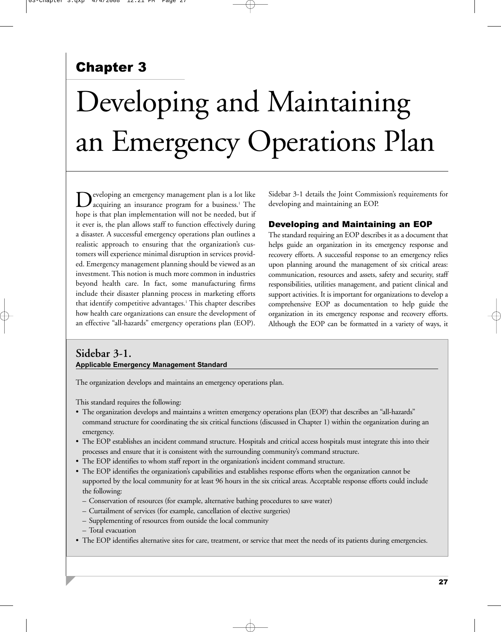# Chapter 3

# Developing and Maintaining an Emergency Operations Plan

eveloping an emergency management plan is a lot like acquiring an insurance program for a business.<sup>1</sup> The hope is that plan implementation will not be needed, but if it ever is, the plan allows staff to function effectively during a disaster. A successful emergency operations plan outlines a realistic approach to ensuring that the organization's customers will experience minimal disruption in services provided. Emergency management planning should be viewed as an investment. This notion is much more common in industries beyond health care. In fact, some manufacturing firms include their disaster planning process in marketing efforts that identify competitive advantages.<sup>1</sup> This chapter describes how health care organizations can ensure the development of an effective "all-hazards" emergency operations plan (EOP).

Sidebar 3-1 details the Joint Commission's requirements for developing and maintaining an EOP.

#### Developing and Maintaining an EOP

The standard requiring an EOP describes it as a document that helps guide an organization in its emergency response and recovery efforts. A successful response to an emergency relies upon planning around the management of six critical areas: communication, resources and assets, safety and security, staff responsibilities, utilities management, and patient clinical and support activities. It is important for organizations to develop a comprehensive EOP as documentation to help guide the organization in its emergency response and recovery efforts. Although the EOP can be formatted in a variety of ways, it

## **Sidebar 3-1. Applicable Emergency Management Standard**

The organization develops and maintains an emergency operations plan.

This standard requires the following:

- The organization develops and maintains a written emergency operations plan (EOP) that describes an "all-hazards" command structure for coordinating the six critical functions (discussed in Chapter 1) within the organization during an emergency.
- The EOP establishes an incident command structure. Hospitals and critical access hospitals must integrate this into their processes and ensure that it is consistent with the surrounding community's command structure.
- The EOP identifies to whom staff report in the organization's incident command structure.
- The EOP identifies the organization's capabilities and establishes response efforts when the organization cannot be supported by the local community for at least 96 hours in the six critical areas. Acceptable response efforts could include the following:
	- Conservation of resources (for example, alternative bathing procedures to save water)
	- Curtailment of services (for example, cancellation of elective surgeries)
	- Supplementing of resources from outside the local community
	- Total evacuation
- The EOP identifies alternative sites for care, treatment, or service that meet the needs of its patients during emergencies.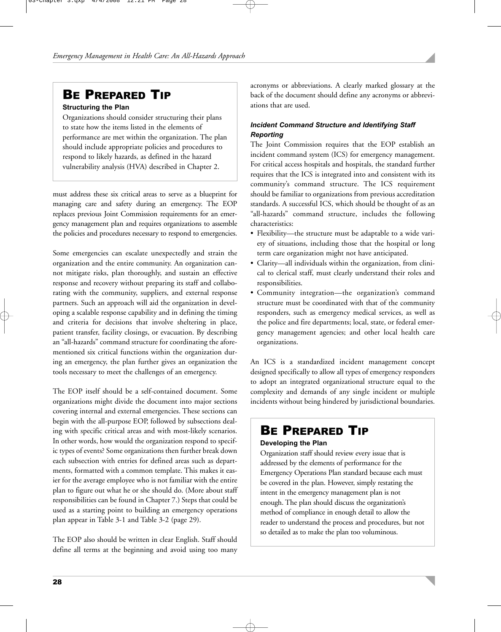# BE PREPARED TIP

#### **Structuring the Plan**

Organizations should consider structuring their plans to state how the items listed in the elements of performance are met within the organization. The plan should include appropriate policies and procedures to respond to likely hazards, as defined in the hazard vulnerability analysis (HVA) described in Chapter 2.

must address these six critical areas to serve as a blueprint for managing care and safety during an emergency. The EOP replaces previous Joint Commission requirements for an emergency management plan and requires organizations to assemble the policies and procedures necessary to respond to emergencies.

Some emergencies can escalate unexpectedly and strain the organization and the entire community. An organization cannot mitigate risks, plan thoroughly, and sustain an effective response and recovery without preparing its staff and collaborating with the community, suppliers, and external response partners. Such an approach will aid the organization in developing a scalable response capability and in defining the timing and criteria for decisions that involve sheltering in place, patient transfer, facility closings, or evacuation. By describing an "all-hazards" command structure for coordinating the aforementioned six critical functions within the organization during an emergency, the plan further gives an organization the tools necessary to meet the challenges of an emergency.

The EOP itself should be a self-contained document. Some organizations might divide the document into major sections covering internal and external emergencies. These sections can begin with the all-purpose EOP, followed by subsections dealing with specific critical areas and with most-likely scenarios. In other words, how would the organization respond to specific types of events? Some organizations then further break down each subsection with entries for defined areas such as departments, formatted with a common template. This makes it easier for the average employee who is not familiar with the entire plan to figure out what he or she should do. (More about staff responsibilities can be found in Chapter 7.) Steps that could be used as a starting point to building an emergency operations plan appear in Table 3-1 and Table 3-2 (page 29).

The EOP also should be written in clear English. Staff should define all terms at the beginning and avoid using too many acronyms or abbreviations. A clearly marked glossary at the back of the document should define any acronyms or abbreviations that are used.

## *Incident Command Structure and Identifying Staff Reporting*

The Joint Commission requires that the EOP establish an incident command system (ICS) for emergency management. For critical access hospitals and hospitals, the standard further requires that the ICS is integrated into and consistent with its community's command structure. The ICS requirement should be familiar to organizations from previous accreditation standards. A successful ICS, which should be thought of as an "all-hazards" command structure, includes the following characteristics:

- Flexibility—the structure must be adaptable to a wide variety of situations, including those that the hospital or long term care organization might not have anticipated.
- Clarity—all individuals within the organization, from clinical to clerical staff, must clearly understand their roles and responsibilities.
- Community integration—the organization's command structure must be coordinated with that of the community responders, such as emergency medical services, as well as the police and fire departments; local, state, or federal emergency management agencies; and other local health care organizations.

An ICS is a standardized incident management concept designed specifically to allow all types of emergency responders to adopt an integrated organizational structure equal to the complexity and demands of any single incident or multiple incidents without being hindered by jurisdictional boundaries.

# BE PREPARED TIP

#### **Developing the Plan**

Organization staff should review every issue that is addressed by the elements of performance for the Emergency Operations Plan standard because each must be covered in the plan. However, simply restating the intent in the emergency management plan is not enough. The plan should discuss the organization's method of compliance in enough detail to allow the reader to understand the process and procedures, but not so detailed as to make the plan too voluminous.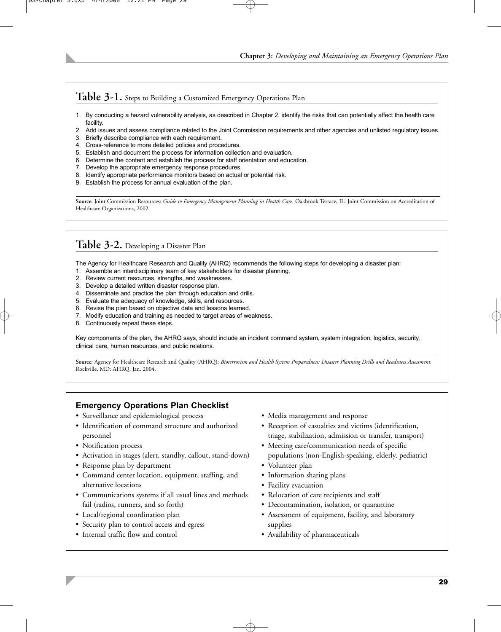## **Table 3-1.** Steps to Building a Customized Emergency Operations Plan

- 1. By conducting a hazard vulnerability analysis, as described in Chapter 2, identify the risks that can potentially affect the health care facility.
- 2. Add issues and assess compliance related to the Joint Commission requirements and other agencies and unlisted regulatory issues.
- 3. Briefly describe compliance with each requirement.
- 4. Cross-reference to more detailed policies and procedures.
- 5. Establish and document the process for information collection and evaluation.
- 6. Determine the content and establish the process for staff orientation and education.
- 7. Develop the appropriate emergency response procedures.
- 8. Identify appropriate performance monitors based on actual or potential risk.
- 9. Establish the process for annual evaluation of the plan.

Source: Joint Commission Resources: Guide to Emergency Management Planning in Health Care. Oakbrook Terrace, IL: Joint Commission on Accreditation of Healthcare Organizations, 2002.

## **Table 3-2.** Developing a Disaster Plan

The Agency for Healthcare Research and Quality (AHRQ) recommends the following steps for developing a disaster plan:

- 1. Assemble an interdisciplinary team of key stakeholders for disaster planning.
- 2. Review current resources, strengths, and weaknesses.
- 3. Develop a detailed written disaster response plan.
- 4. Disseminate and practice the plan through education and drills.
- 5. Evaluate the adequacy of knowledge, skills, and resources.
- 6. Revise the plan based on objective data and lessons learned.
- 7. Modify education and training as needed to target areas of weakness.
- 8. Continuously repeat these steps.

Key components of the plan, the AHRQ says, should include an incident command system, system integration, logistics, security, clinical care, human resources, and public relations.

**Source:** Agency for Healthcare Research and Quality (AHRQ): *Bioterrorism and Health System Preparedness: Disaster Planning Drills and Readiness Assessment.* Rockville, MD: AHRQ, Jan. 2004.

## **Emergency Operations Plan Checklist**

- Surveillance and epidemiological process
- Identification of command structure and authorized personnel
- Notification process
- Activation in stages (alert, standby, callout, stand-down)
- Response plan by department
- Command center location, equipment, staffing, and alternative locations
- Communications systems if all usual lines and methods fail (radios, runners, and so forth)
- Local/regional coordination plan
- Security plan to control access and egress
- Internal traffic flow and control
- Media management and response
- Reception of casualties and victims (identification, triage, stabilization, admission or transfer, transport)
- Meeting care/communication needs of specific populations (non-English-speaking, elderly, pediatric)
- Volunteer plan
- Information sharing plans
- Facility evacuation
- Relocation of care recipients and staff
- Decontamination, isolation, or quarantine
- Assessment of equipment, facility, and laboratory supplies
- Availability of pharmaceuticals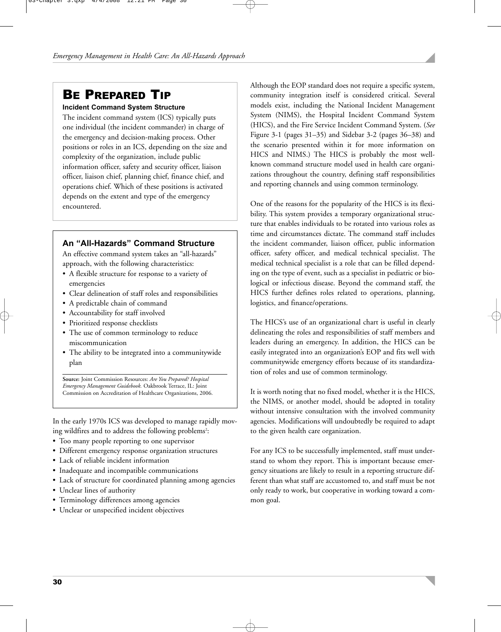# BE PREPARED TIP

#### **Incident Command System Structure**

The incident command system (ICS) typically puts one individual (the incident commander) in charge of the emergency and decision-making process. Other positions or roles in an ICS, depending on the size and complexity of the organization, include public information officer, safety and security officer, liaison officer, liaison chief, planning chief, finance chief, and operations chief. Which of these positions is activated depends on the extent and type of the emergency encountered.

#### **An "All-Hazards" Command Structure**

An effective command system takes an "all-hazards" approach, with the following characteristics:

- A flexible structure for response to a variety of emergencies
- Clear delineation of staff roles and responsibilities
- A predictable chain of command
- Accountability for staff involved
- Prioritized response checklists
- The use of common terminology to reduce miscommunication
- The ability to be integrated into a communitywide plan

**Source:** Joint Commission Resources: *Are You Prepared? Hospital Emergency Management Guidebook.* Oakbrook Terrace, IL: Joint Commission on Accreditation of Healthcare Organizations, 2006.

In the early 1970s ICS was developed to manage rapidly moving wildfires and to address the following problems<sup>2</sup>:

- Too many people reporting to one supervisor
- Different emergency response organization structures
- Lack of reliable incident information
- Inadequate and incompatible communications
- Lack of structure for coordinated planning among agencies
- Unclear lines of authority
- Terminology differences among agencies
- Unclear or unspecified incident objectives

Although the EOP standard does not require a specific system, community integration itself is considered critical. Several models exist, including the National Incident Management System (NIMS), the Hospital Incident Command System (HICS), and the Fire Service Incident Command System. (*See* Figure 3-1 (pages 31–35) and Sidebar 3-2 (pages 36–38) and the scenario presented within it for more information on HICS and NIMS.) The HICS is probably the most wellknown command structure model used in health care organizations throughout the country, defining staff responsibilities and reporting channels and using common terminology.

One of the reasons for the popularity of the HICS is its flexibility. This system provides a temporary organizational structure that enables individuals to be rotated into various roles as time and circumstances dictate. The command staff includes the incident commander, liaison officer, public information officer, safety officer, and medical technical specialist. The medical technical specialist is a role that can be filled depending on the type of event, such as a specialist in pediatric or biological or infectious disease. Beyond the command staff, the HICS further defines roles related to operations, planning, logistics, and finance/operations.

The HICS's use of an organizational chart is useful in clearly delineating the roles and responsibilities of staff members and leaders during an emergency. In addition, the HICS can be easily integrated into an organization's EOP and fits well with communitywide emergency efforts because of its standardization of roles and use of common terminology.

It is worth noting that no fixed model, whether it is the HICS, the NIMS, or another model, should be adopted in totality without intensive consultation with the involved community agencies. Modifications will undoubtedly be required to adapt to the given health care organization.

For any ICS to be successfully implemented, staff must understand to whom they report. This is important because emergency situations are likely to result in a reporting structure different than what staff are accustomed to, and staff must be not only ready to work, but cooperative in working toward a common goal.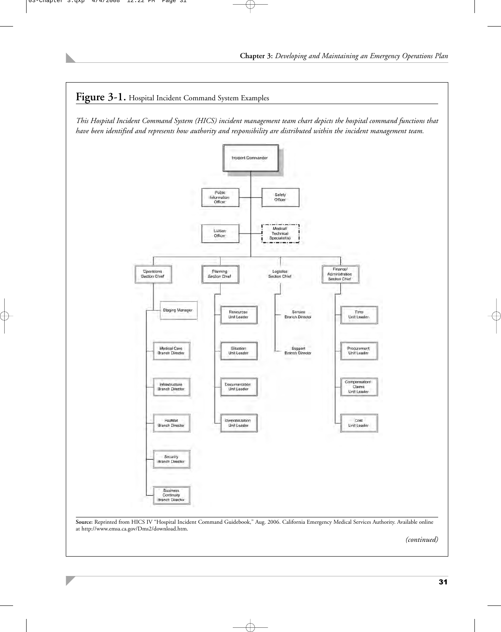

31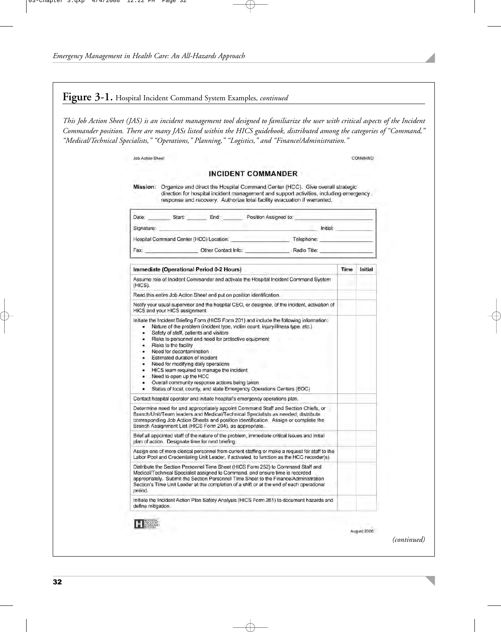## **Figure 3-1.** Hospital Incident Command System Examples, *continued*

*This Job Action Sheet (JAS) is an incident management tool designed to familiarize the user with critical aspects of the Incident Commander position. There are many JASs listed within the HICS guidebook, distributed among the categories of "Command," "Medical/Technical Specialists," "Operations," Planning," "Logistics," and "Finance/Administration."*

| Mission: Organize and direct the Hospital Command Center (HCC). Give overall strategic<br>direction for hospital incident management and support activities, including emergency<br>response and recovery. Authorize total facility evacuation if warranted.                                                                                                                                                                                                  |      |         |
|---------------------------------------------------------------------------------------------------------------------------------------------------------------------------------------------------------------------------------------------------------------------------------------------------------------------------------------------------------------------------------------------------------------------------------------------------------------|------|---------|
|                                                                                                                                                                                                                                                                                                                                                                                                                                                               |      |         |
| Initial:<br>Signature:                                                                                                                                                                                                                                                                                                                                                                                                                                        |      |         |
| Hospital Command Center (HCC) Location: Telephone: Telephone:                                                                                                                                                                                                                                                                                                                                                                                                 |      |         |
| Fax: Cther Contact Info: Radio Title:                                                                                                                                                                                                                                                                                                                                                                                                                         |      |         |
| Immediate (Operational Period 0-2 Hours)                                                                                                                                                                                                                                                                                                                                                                                                                      | Time | Initial |
| Assume role of Incident Commander and activate the Hospital Incident Command System<br>(HICS).                                                                                                                                                                                                                                                                                                                                                                |      |         |
| Read this entire Job Action Sheet and put on position identification.                                                                                                                                                                                                                                                                                                                                                                                         |      |         |
| Notify your usual supervisor and the hospital CEO, or designee, of the incident, activation of<br>HICS and your HICS assignment.                                                                                                                                                                                                                                                                                                                              |      |         |
| Safety of staff, patients and visitors<br>٠<br>Risks to personnel and need for protective equipment<br>٠<br>Risks to the facility<br>Need for decontamination<br>Estimated duration of incident<br>٠<br>Need for modifying daily operations<br>٠<br>HICS team required to manage the incident<br>Need to open up the HCC<br>٠<br>Overall community response actions being taken<br>٠<br>Status of local, county, and state Emergency Operations Centers (EOC) |      |         |
| Contact hospital operator and initiate hospital's emergency operations plan.                                                                                                                                                                                                                                                                                                                                                                                  |      |         |
| Determine need for and appropriately appoint Command Staff and Section Chiefs, or<br>Branch/Unit/Team leaders and Medical/Technical Specialists as needed; distribute<br>corresponding Job Action Sheets and position identification. Assign or complete the<br>Branch Assignment List (HICS Form 204), as appropriate.                                                                                                                                       |      |         |
| Brief all appointed staff of the nature of the problem, immediate critical issues and initial<br>plan of action. Designate time for next briefing.                                                                                                                                                                                                                                                                                                            |      |         |
| Assign one of more clerical personnel from current staffing or make a request for staff to the<br>Labor Pool and Credentialing Unit Leader, if activated, to function as the HCC recorder(s).                                                                                                                                                                                                                                                                 |      |         |
| Distribute the Section Personnel Time Sheet (HICS Form 252) to Command Staff and<br>Medical/Technical Specialist assigned to Command, and ensure time is recorded<br>appropriately. Submit the Section Personnel Time Sheet to the Finance/Administration<br>Section's Time Unit Leader at the completion of a shift or at the end of each operational<br>period.                                                                                             |      |         |
| Initiate the Incident Action Plan Safety Analysis (HICS Form 261) to document hazards and                                                                                                                                                                                                                                                                                                                                                                     |      |         |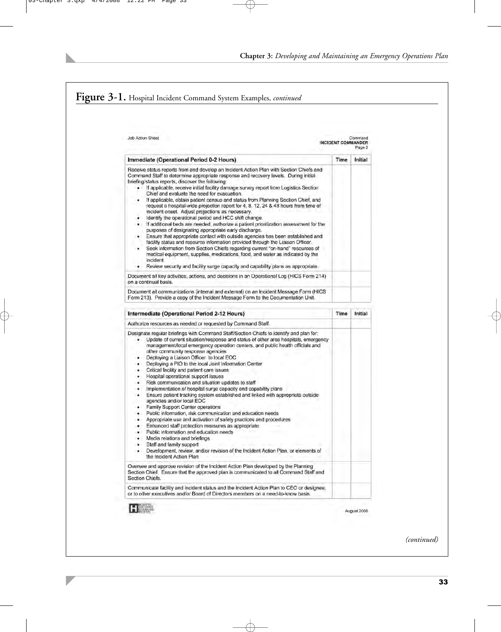#### **Figure 3-1.** Hospital Incident Command System Examples, *continued* Job Action Sheet Commond INCIDENT COM **MANDER** Page 2 Immediate (Operational Period 0-2 Hours) Time Initial Receive status reports from and develop an Incident Action Plan with Section Chiefs and Command Staff to determine appropriate response and recovery levels. During initial briefing/status reports, discover the following: If applicable, receive initial facility damage survey report from Logistics Section Chief and evaluate the need for evacuation. If applicable, obtain patient census and status from Planning Section Chief, and request a hospital-wide projection report for 4, 8, 12, 24 & 48 hours from time of incident onset. Adjust projections as necessary. Identify the operational period and HCC shift change. If additional beds are needed, authorize a patient prioritization assessment for the purposes of designating appropriate early discharge. Ensure that appropriate contact with outside agencies has been established and facility status and resource information provided through the Liaison Officer. Seek information from Section Chiefs regarding current "on-hand" resources of medical equipment, supplies, medications, food, and water as indicated by the incident Review security and facility surge capacity and capability plans as appropriate. Document all key activities, actions, and decisions in an Operational Log (HICS Form 214) on a continual basis. Document all communications (internal and external) on an Incident Message Form (HICS Form 213). Provide a copy of the Incident Message Form to the Documentation Unit. Intermediate (Operational Period 2-12 Hours) Time **Initial** Authorize resources as needed or requested by Command Staff. Designate regular briefings with Command Staff/Section Chiefs to identify and plan for: Update of current situation/response and status of other area hospitals, emergency management/local emergency operation centers, and public health officials and other community response agencies Deploying a Liaison Officer to local EOC Deploying a PIO to the local Joint Information Center Critical facility and patient care issues Hospital operational support issues Risk communication and situation updates to staff Implementation of hospital surge capacity and capability plans Ensure patient tracking system established and linked with appropriate outside agencies and/or local EOC Family Support Center operations Public information, risk communication and education needs Appropriate use and activation of safety practices and procedures Enhanced staff protection measures as appropriate Public information and education needs Media relations and briefings Staff and family support Development, review, and/or revision of the Incident Action Plan, or elements of the Incident Action Plan Oversee and approve revision of the Incident Action Plan developed by the Planning Section Chief. Ensure that the approved plan is communicated to all Command Staff and Section Chiefs. Communicate facility and incident status and the Incident Action Plan to CEO or designee. or to other executives and/or Board of Directors members on a need-to-know basis. HIGHWAY August 2006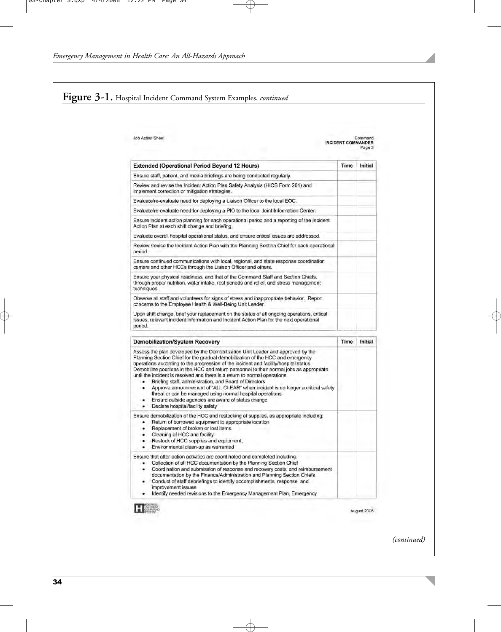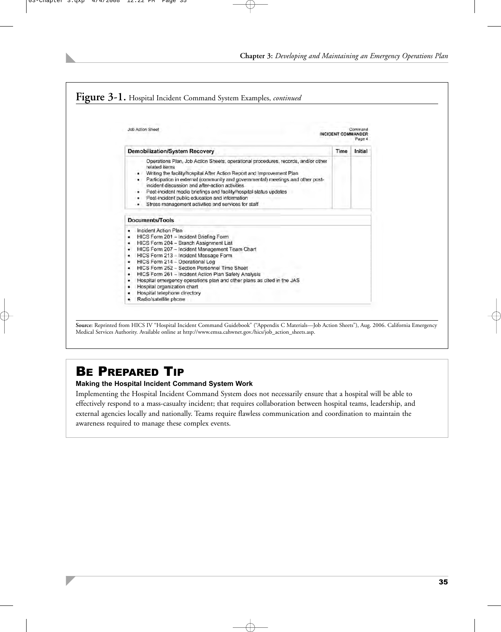

**Source:** Reprinted from HICS IV "Hospital Incident Command Guidebook" ("Appendix C Materials—Job Action Sheets"), Aug. 2006. California Emergency Medical Services Authority. Available online at http://www.emsa.cahwnet.gov./hics/job\_action\_sheets.asp.

# BE PREPARED TIP

#### **Making the Hospital Incident Command System Work**

Implementing the Hospital Incident Command System does not necessarily ensure that a hospital will be able to effectively respond to a mass-casualty incident; that requires collaboration between hospital teams, leadership, and external agencies locally and nationally. Teams require flawless communication and coordination to maintain the awareness required to manage these complex events.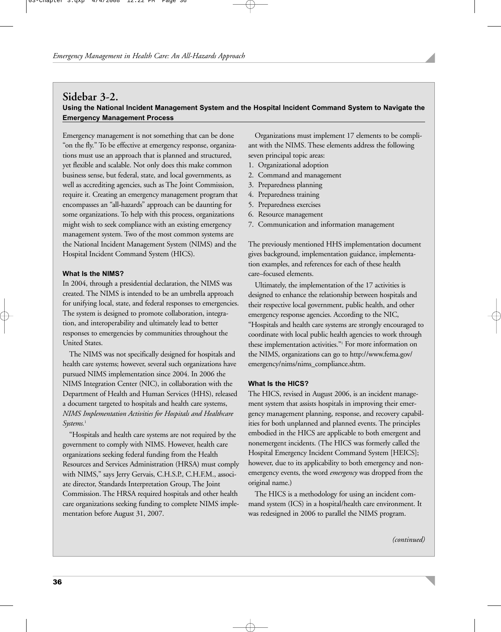## **Sidebar 3-2. Using the National Incident Management System and the Hospital Incident Command System to Navigate the Emergency Management Process**

Emergency management is not something that can be done "on the fly." To be effective at emergency response, organizations must use an approach that is planned and structured, yet flexible and scalable. Not only does this make common business sense, but federal, state, and local governments, as well as accrediting agencies, such as The Joint Commission, require it. Creating an emergency management program that encompasses an "all-hazards" approach can be daunting for some organizations. To help with this process, organizations might wish to seek compliance with an existing emergency management system. Two of the most common systems are the National Incident Management System (NIMS) and the Hospital Incident Command System (HICS).

#### **What Is the NIMS?**

In 2004, through a presidential declaration, the NIMS was created. The NIMS is intended to be an umbrella approach for unifying local, state, and federal responses to emergencies. The system is designed to promote collaboration, integration, and interoperability and ultimately lead to better responses to emergencies by communities throughout the United States.

The NIMS was not specifically designed for hospitals and health care systems; however, several such organizations have pursued NIMS implementation since 2004. In 2006 the NIMS Integration Center (NIC), in collaboration with the Department of Health and Human Services (HHS), released a document targeted to hospitals and health care systems, *NIMS Implementation Activities for Hospitals and Healthcare* Systems.<sup>1</sup>

"Hospitals and health care systems are not required by the government to comply with NIMS. However, health care organizations seeking federal funding from the Health Resources and Services Administration (HRSA) must comply with NIMS," says Jerry Gervais, C.H.S.P., C.H.F.M., associate director, Standards Interpretation Group, The Joint Commission. The HRSA required hospitals and other health care organizations seeking funding to complete NIMS implementation before August 31, 2007.

Organizations must implement 17 elements to be compliant with the NIMS. These elements address the following seven principal topic areas:

- 1. Organizational adoption
- 2. Command and management
- 3. Preparedness planning
- 4. Preparedness training
- 5. Preparedness exercises
- 6. Resource management
- 7. Communication and information management

The previously mentioned HHS implementation document gives background, implementation guidance, implementation examples, and references for each of these health care–focused elements.

Ultimately, the implementation of the 17 activities is designed to enhance the relationship between hospitals and their respective local government, public health, and other emergency response agencies. According to the NIC, "Hospitals and health care systems are strongly encouraged to coordinate with local public health agencies to work through these implementation activities."1 For more information on the NIMS, organizations can go to http://www.fema.gov/ emergency/nims/nims\_compliance.shtm.

#### **What Is the HICS?**

The HICS, revised in August 2006, is an incident management system that assists hospitals in improving their emergency management planning, response, and recovery capabilities for both unplanned and planned events. The principles embodied in the HICS are applicable to both emergent and nonemergent incidents. (The HICS was formerly called the Hospital Emergency Incident Command System [HEICS]; however, due to its applicability to both emergency and nonemergency events, the word *emergency* was dropped from the original name.)

The HICS is a methodology for using an incident command system (ICS) in a hospital/health care environment. It was redesigned in 2006 to parallel the NIMS program.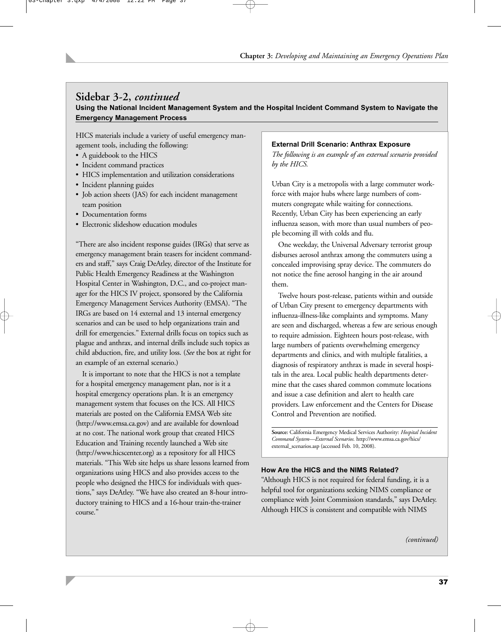# **Sidebar 3-2,** *continued*

**Using the National Incident Management System and the Hospital Incident Command System to Navigate the Emergency Management Process**

HICS materials include a variety of useful emergency management tools, including the following:

- A guidebook to the HICS
- Incident command practices
- HICS implementation and utilization considerations
- Incident planning guides
- Job action sheets (JAS) for each incident management team position
- Documentation forms
- Electronic slideshow education modules

"There are also incident response guides (IRGs) that serve as emergency management brain teasers for incident commanders and staff," says Craig DeAtley, director of the Institute for Public Health Emergency Readiness at the Washington Hospital Center in Washington, D.C., and co-project manager for the HICS IV project, sponsored by the California Emergency Management Services Authority (EMSA). "The IRGs are based on 14 external and 13 internal emergency scenarios and can be used to help organizations train and drill for emergencies." External drills focus on topics such as plague and anthrax, and internal drills include such topics as child abduction, fire, and utility loss. (*See* the box at right for an example of an external scenario.)

It is important to note that the HICS is not a template for a hospital emergency management plan, nor is it a hospital emergency operations plan. It is an emergency management system that focuses on the ICS. All HICS materials are posted on the California EMSA Web site (http://www.emsa.ca.gov) and are available for download at no cost. The national work group that created HICS Education and Training recently launched a Web site (http://www.hicscenter.org) as a repository for all HICS materials. "This Web site helps us share lessons learned from organizations using HICS and also provides access to the people who designed the HICS for individuals with questions," says DeAtley. "We have also created an 8-hour introductory training to HICS and a 16-hour train-the-trainer course."

#### **External Drill Scenario: Anthrax Exposure**

*The following is an example of an external scenario provided by the HICS.*

Urban City is a metropolis with a large commuter workforce with major hubs where large numbers of commuters congregate while waiting for connections. Recently, Urban City has been experiencing an early influenza season, with more than usual numbers of people becoming ill with colds and flu.

One weekday, the Universal Adversary terrorist group disburses aerosol anthrax among the commuters using a concealed improvising spray device. The commuters do not notice the fine aerosol hanging in the air around them.

Twelve hours post-release, patients within and outside of Urban City present to emergency departments with influenza-illness-like complaints and symptoms. Many are seen and discharged, whereas a few are serious enough to require admission. Eighteen hours post-release, with large numbers of patients overwhelming emergency departments and clinics, and with multiple fatalities, a diagnosis of respiratory anthrax is made in several hospitals in the area. Local public health departments determine that the cases shared common commute locations and issue a case definition and alert to health care providers. Law enforcement and the Centers for Disease Control and Prevention are notified.

**Source:** California Emergency Medical Services Authority: *Hospital Incident Command System—External Scenarios.* http://www.emsa.ca.gov/hics/ external\_scenarios.asp (accessed Feb. 10, 2008).

#### **How Are the HICS and the NIMS Related?**

"Although HICS is not required for federal funding, it is a helpful tool for organizations seeking NIMS compliance or compliance with Joint Commission standards," says DeAtley. Although HICS is consistent and compatible with NIMS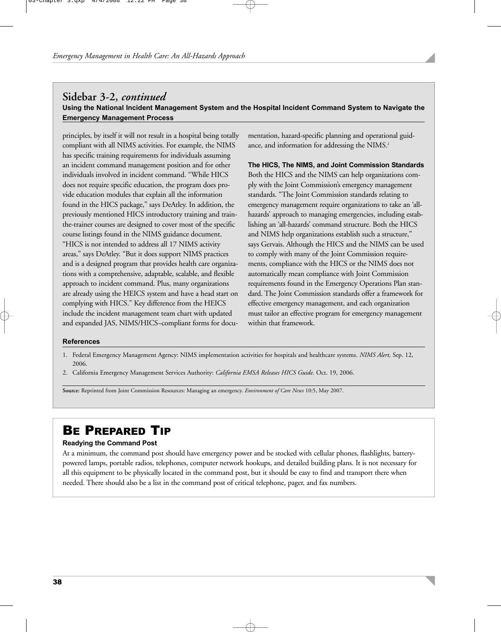## **Sidebar 3-2,** *continued* **Using the National Incident Management System and the Hospital Incident Command System to Navigate the Emergency Management Process**

principles, by itself it will not result in a hospital being totally compliant with all NIMS activities. For example, the NIMS has specific training requirements for individuals assuming an incident command management position and for other individuals involved in incident command. "While HICS does not require specific education, the program does provide education modules that explain all the information found in the HICS package," says DeAtley. In addition, the previously mentioned HICS introductory training and trainthe-trainer courses are designed to cover most of the specific course listings found in the NIMS guidance document. "HICS is not intended to address all 17 NIMS activity areas," says DeAtley. "But it does support NIMS practices and is a designed program that provides health care organizations with a comprehensive, adaptable, scalable, and flexible approach to incident command. Plus, many organizations are already using the HEICS system and have a head start on complying with HICS." Key difference from the HEICS include the incident management team chart with updated and expanded JAS, NIMS/HICS–compliant forms for docu-

mentation, hazard-specific planning and operational guidance, and information for addressing the NIMS.<sup>2</sup>

**The HICS, The NIMS, and Joint Commission Standards** Both the HICS and the NIMS can help organizations comply with the Joint Commission's emergency management standards. "The Joint Commission standards relating to emergency management require organizations to take an 'allhazards' approach to managing emergencies, including establishing an 'all-hazards' command structure. Both the HICS and NIMS help organizations establish such a structure," says Gervais. Although the HICS and the NIMS can be used to comply with many of the Joint Commission requirements, compliance with the HICS or the NIMS does not automatically mean compliance with Joint Commission requirements found in the Emergency Operations Plan standard. The Joint Commission standards offer a framework for effective emergency management, and each organization must tailor an effective program for emergency management within that framework.

#### **References**

- 1. Federal Emergency Management Agency: NIMS implementation activities for hospitals and healthcare systems. *NIMS Alert,* Sep. 12, 2006.
- 2. California Emergency Management Services Authority: *California EMSA Releases HICS Guide.* Oct. 19, 2006.

**Source:** Reprinted from Joint Commission Resources: Managing an emergency. *Environment of Care News* 10:5, May 2007.

# BE PREPARED TIP

#### **Readying the Command Post**

At a minimum, the command post should have emergency power and be stocked with cellular phones, flashlights, batterypowered lamps, portable radios, telephones, computer network hookups, and detailed building plans. It is not necessary for all this equipment to be physically located in the command post, but it should be easy to find and transport there when needed. There should also be a list in the command post of critical telephone, pager, and fax numbers.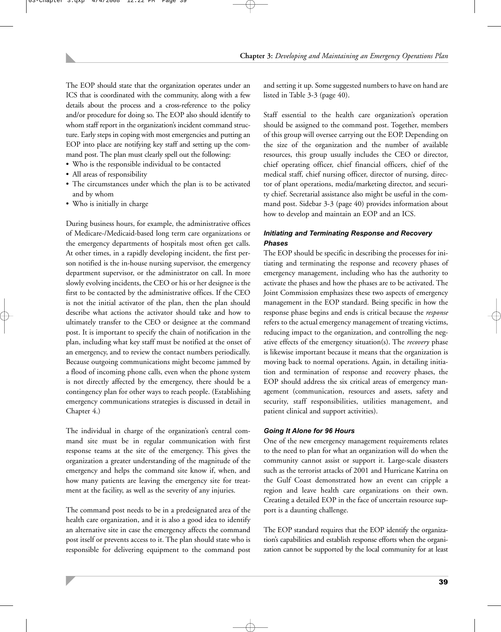The EOP should state that the organization operates under an ICS that is coordinated with the community, along with a few details about the process and a cross-reference to the policy and/or procedure for doing so. The EOP also should identify to whom staff report in the organization's incident command structure. Early steps in coping with most emergencies and putting an EOP into place are notifying key staff and setting up the command post. The plan must clearly spell out the following:

- Who is the responsible individual to be contacted
- All areas of responsibility
- The circumstances under which the plan is to be activated and by whom
- Who is initially in charge

During business hours, for example, the administrative offices of Medicare-/Medicaid-based long term care organizations or the emergency departments of hospitals most often get calls. At other times, in a rapidly developing incident, the first person notified is the in-house nursing supervisor, the emergency department supervisor, or the administrator on call. In more slowly evolving incidents, the CEO or his or her designee is the first to be contacted by the administrative offices. If the CEO is not the initial activator of the plan, then the plan should describe what actions the activator should take and how to ultimately transfer to the CEO or designee at the command post. It is important to specify the chain of notification in the plan, including what key staff must be notified at the onset of an emergency, and to review the contact numbers periodically. Because outgoing communications might become jammed by a flood of incoming phone calls, even when the phone system is not directly affected by the emergency, there should be a contingency plan for other ways to reach people. (Establishing emergency communications strategies is discussed in detail in Chapter 4.)

The individual in charge of the organization's central command site must be in regular communication with first response teams at the site of the emergency. This gives the organization a greater understanding of the magnitude of the emergency and helps the command site know if, when, and how many patients are leaving the emergency site for treatment at the facility, as well as the severity of any injuries.

The command post needs to be in a predesignated area of the health care organization, and it is also a good idea to identify an alternative site in case the emergency affects the command post itself or prevents access to it. The plan should state who is responsible for delivering equipment to the command post and setting it up. Some suggested numbers to have on hand are listed in Table 3-3 (page 40).

Staff essential to the health care organization's operation should be assigned to the command post. Together, members of this group will oversee carrying out the EOP. Depending on the size of the organization and the number of available resources, this group usually includes the CEO or director, chief operating officer, chief financial officers, chief of the medical staff, chief nursing officer, director of nursing, director of plant operations, media/marketing director, and security chief. Secretarial assistance also might be useful in the command post. Sidebar 3-3 (page 40) provides information about how to develop and maintain an EOP and an ICS.

#### *Initiating and Terminating Response and Recovery Phases*

The EOP should be specific in describing the processes for initiating and terminating the response and recovery phases of emergency management, including who has the authority to activate the phases and how the phases are to be activated. The Joint Commission emphasizes these two aspects of emergency management in the EOP standard. Being specific in how the response phase begins and ends is critical because the *response* refers to the actual emergency management of treating victims, reducing impact to the organization, and controlling the negative effects of the emergency situation(s). The *recovery* phase is likewise important because it means that the organization is moving back to normal operations. Again, in detailing initiation and termination of response and recovery phases, the EOP should address the six critical areas of emergency management (communication, resources and assets, safety and security, staff responsibilities, utilities management, and patient clinical and support activities).

#### *Going It Alone for 96 Hours*

One of the new emergency management requirements relates to the need to plan for what an organization will do when the community cannot assist or support it. Large-scale disasters such as the terrorist attacks of 2001 and Hurricane Katrina on the Gulf Coast demonstrated how an event can cripple a region and leave health care organizations on their own. Creating a detailed EOP in the face of uncertain resource support is a daunting challenge.

The EOP standard requires that the EOP identify the organization's capabilities and establish response efforts when the organization cannot be supported by the local community for at least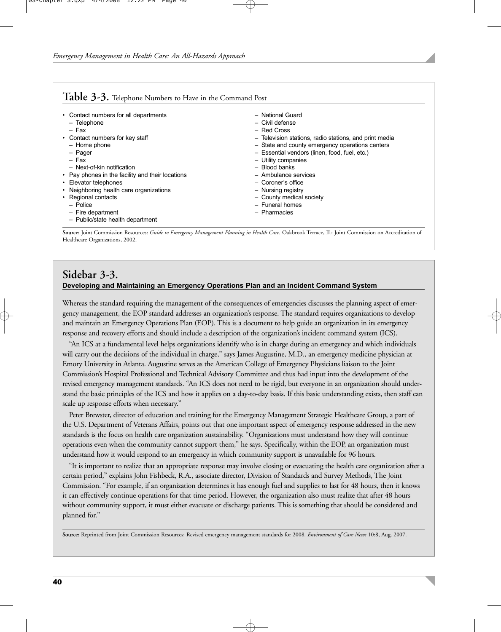| • Contact numbers for all departments            | - National Guard                                       |
|--------------------------------------------------|--------------------------------------------------------|
| - Telephone                                      | - Civil defense                                        |
| - Fax                                            | - Red Cross                                            |
| • Contact numbers for key staff                  | - Television stations, radio stations, and print media |
| - Home phone                                     | - State and county emergency operations centers        |
| - Pager                                          | - Essential vendors (linen, food, fuel, etc.)          |
| $-$ Fax                                          | - Utility companies                                    |
| - Next-of-kin notification                       | - Blood banks                                          |
| • Pay phones in the facility and their locations | - Ambulance services                                   |
| • Elevator telephones                            | - Coroner's office                                     |
| • Neighboring health care organizations          | - Nursing registry                                     |
| • Regional contacts                              | - County medical society                               |
| $-$ Police                                       | - Funeral homes                                        |
| - Fire department                                | - Pharmacies                                           |
| - Public/state health department                 |                                                        |

**Source:** Joint Commission Resources: *Guide to Emergency Management Planning in Health Care.* Oakbrook Terrace, IL: Joint Commission on Accreditation of Healthcare Organizations, 2002.

## **Sidebar 3-3. Developing and Maintaining an Emergency Operations Plan and an Incident Command System**

Whereas the standard requiring the management of the consequences of emergencies discusses the planning aspect of emergency management, the EOP standard addresses an organization's response. The standard requires organizations to develop and maintain an Emergency Operations Plan (EOP). This is a document to help guide an organization in its emergency response and recovery efforts and should include a description of the organization's incident command system (ICS).

"An ICS at a fundamental level helps organizations identify who is in charge during an emergency and which individuals will carry out the decisions of the individual in charge," says James Augustine, M.D., an emergency medicine physician at Emory University in Atlanta. Augustine serves as the American College of Emergency Physicians liaison to the Joint Commission's Hospital Professional and Technical Advisory Committee and thus had input into the development of the revised emergency management standards. "An ICS does not need to be rigid, but everyone in an organization should understand the basic principles of the ICS and how it applies on a day-to-day basis. If this basic understanding exists, then staff can scale up response efforts when necessary."

Peter Brewster, director of education and training for the Emergency Management Strategic Healthcare Group, a part of the U.S. Department of Veterans Affairs, points out that one important aspect of emergency response addressed in the new standards is the focus on health care organization sustainability. "Organizations must understand how they will continue operations even when the community cannot support them," he says. Specifically, within the EOP, an organization must understand how it would respond to an emergency in which community support is unavailable for 96 hours.

"It is important to realize that an appropriate response may involve closing or evacuating the health care organization after a certain period," explains John Fishbeck, R.A., associate director, Division of Standards and Survey Methods, The Joint Commission. "For example, if an organization determines it has enough fuel and supplies to last for 48 hours, then it knows it can effectively continue operations for that time period. However, the organization also must realize that after 48 hours without community support, it must either evacuate or discharge patients. This is something that should be considered and planned for."

**Source:** Reprinted from Joint Commission Resources: Revised emergency management standards for 2008. *Environment of Care News* 10:8, Aug. 2007.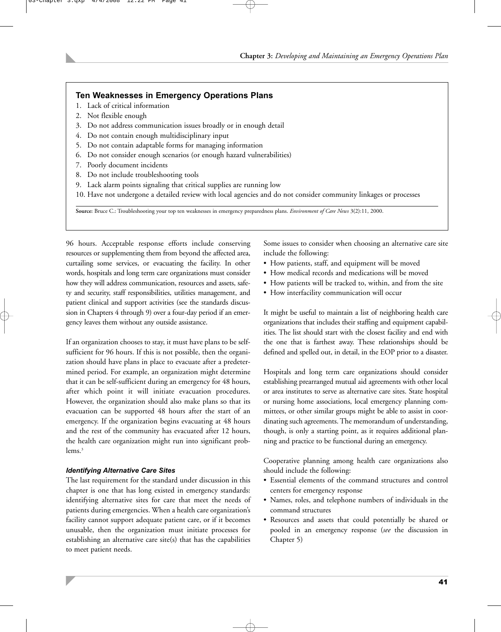#### **Ten Weaknesses in Emergency Operations Plans**

- 1. Lack of critical information
- 2. Not flexible enough
- 3. Do not address communication issues broadly or in enough detail
- 4. Do not contain enough multidisciplinary input
- 5. Do not contain adaptable forms for managing information
- 6. Do not consider enough scenarios (or enough hazard vulnerabilities)
- 7. Poorly document incidents
- 8. Do not include troubleshooting tools
- 9. Lack alarm points signaling that critical supplies are running low
- 10. Have not undergone a detailed review with local agencies and do not consider community linkages or processes

**Source:** Bruce C.: Troubleshooting your top ten weaknesses in emergency preparedness plans. *Environment of Care News* 3(2):11, 2000.

96 hours. Acceptable response efforts include conserving resources or supplementing them from beyond the affected area, curtailing some services, or evacuating the facility. In other words, hospitals and long term care organizations must consider how they will address communication, resources and assets, safety and security, staff responsibilities, utilities management, and patient clinical and support activities (see the standards discussion in Chapters 4 through 9) over a four-day period if an emergency leaves them without any outside assistance.

If an organization chooses to stay, it must have plans to be selfsufficient for 96 hours. If this is not possible, then the organization should have plans in place to evacuate after a predetermined period. For example, an organization might determine that it can be self-sufficient during an emergency for 48 hours, after which point it will initiate evacuation procedures. However, the organization should also make plans so that its evacuation can be supported 48 hours after the start of an emergency. If the organization begins evacuating at 48 hours and the rest of the community has evacuated after 12 hours, the health care organization might run into significant problems.<sup>3</sup>

#### *Identifying Alternative Care Sites*

The last requirement for the standard under discussion in this chapter is one that has long existed in emergency standards: identifying alternative sites for care that meet the needs of patients during emergencies. When a health care organization's facility cannot support adequate patient care, or if it becomes unusable, then the organization must initiate processes for establishing an alternative care site(s) that has the capabilities to meet patient needs.

Some issues to consider when choosing an alternative care site include the following:

- How patients, staff, and equipment will be moved
- How medical records and medications will be moved
- How patients will be tracked to, within, and from the site
- How interfacility communication will occur

It might be useful to maintain a list of neighboring health care organizations that includes their staffing and equipment capabilities. The list should start with the closest facility and end with the one that is farthest away. These relationships should be defined and spelled out, in detail, in the EOP prior to a disaster.

Hospitals and long term care organizations should consider establishing prearranged mutual aid agreements with other local or area institutes to serve as alternative care sites. State hospital or nursing home associations, local emergency planning committees, or other similar groups might be able to assist in coordinating such agreements. The memorandum of understanding, though, is only a starting point, as it requires additional planning and practice to be functional during an emergency.

Cooperative planning among health care organizations also should include the following:

- Essential elements of the command structures and control centers for emergency response
- Names, roles, and telephone numbers of individuals in the command structures
- Resources and assets that could potentially be shared or pooled in an emergency response (*see* the discussion in Chapter 5)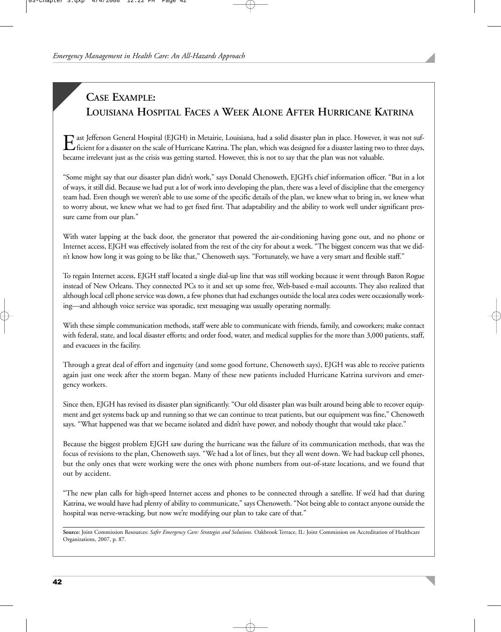# **CASE EXAMPLE: LOUISIANA HOSPITAL FACES A WEEK ALONE AFTER HURRICANE KATRINA**

Explorer at Jefferson General Hospital (EJGH) in Metairie, Louisiana, had a solid disaster plan in place. However, it was not sufficient for a disaster on the scale of Hurricane Katrina. The plan, which was designed for a became irrelevant just as the crisis was getting started. However, this is not to say that the plan was not valuable.

"Some might say that our disaster plan didn't work," says Donald Chenoweth, EJGH's chief information officer. "But in a lot of ways, it still did. Because we had put a lot of work into developing the plan, there was a level of discipline that the emergency team had. Even though we weren't able to use some of the specific details of the plan, we knew what to bring in, we knew what to worry about, we knew what we had to get fixed first. That adaptability and the ability to work well under significant pressure came from our plan."

With water lapping at the back door, the generator that powered the air-conditioning having gone out, and no phone or Internet access, EJGH was effectively isolated from the rest of the city for about a week. "The biggest concern was that we didn't know how long it was going to be like that," Chenoweth says. "Fortunately, we have a very smart and flexible staff."

To regain Internet access, EJGH staff located a single dial-up line that was still working because it went through Baton Rogue instead of New Orleans. They connected PCs to it and set up some free, Web-based e-mail accounts. They also realized that although local cell phone service was down, a few phones that had exchanges outside the local area codes were occasionally working—and although voice service was sporadic, text messaging was usually operating normally.

With these simple communication methods, staff were able to communicate with friends, family, and coworkers; make contact with federal, state, and local disaster efforts; and order food, water, and medical supplies for the more than 3,000 patients, staff, and evacuees in the facility.

Through a great deal of effort and ingenuity (and some good fortune, Chenoweth says), EJGH was able to receive patients again just one week after the storm began. Many of these new patients included Hurricane Katrina survivors and emergency workers.

Since then, EJGH has revised its disaster plan significantly. "Our old disaster plan was built around being able to recover equipment and get systems back up and running so that we can continue to treat patients, but our equipment was fine," Chenoweth says. "What happened was that we became isolated and didn't have power, and nobody thought that would take place."

Because the biggest problem EJGH saw during the hurricane was the failure of its communication methods, that was the focus of revisions to the plan, Chenoweth says. "We had a lot of lines, but they all went down. We had backup cell phones, but the only ones that were working were the ones with phone numbers from out-of-state locations, and we found that out by accident.

"The new plan calls for high-speed Internet access and phones to be connected through a satellite. If we'd had that during Katrina, we would have had plenty of ability to communicate," says Chenoweth. "Not being able to contact anyone outside the hospital was nerve-wracking, but now we're modifying our plan to take care of that."

**Source:** Joint Commission Resources: *Safer Emergency Care: Strategies and Solutions.* Oakbrook Terrace, IL: Joint Commission on Accreditation of Healthcare Organizations, 2007, p. 87.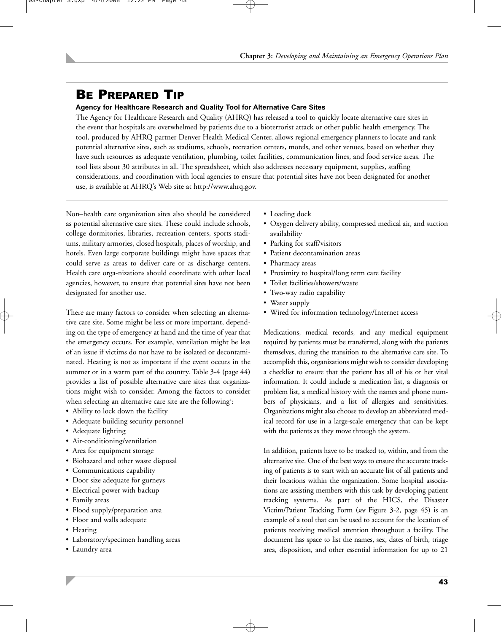# BE PREPARED TIP

#### **Agency for Healthcare Research and Quality Tool for Alternative Care Sites**

The Agency for Healthcare Research and Quality (AHRQ) has released a tool to quickly locate alternative care sites in the event that hospitals are overwhelmed by patients due to a bioterrorist attack or other public health emergency. The tool, produced by AHRQ partner Denver Health Medical Center, allows regional emergency planners to locate and rank potential alternative sites, such as stadiums, schools, recreation centers, motels, and other venues, based on whether they have such resources as adequate ventilation, plumbing, toilet facilities, communication lines, and food service areas. The tool lists about 30 attributes in all. The spreadsheet, which also addresses necessary equipment, supplies, staffing considerations, and coordination with local agencies to ensure that potential sites have not been designated for another use, is available at AHRQ's Web site at http://www.ahrq.gov.

Non–health care organization sites also should be considered as potential alternative care sites. These could include schools, college dormitories, libraries, recreation centers, sports stadiums, military armories, closed hospitals, places of worship, and hotels. Even large corporate buildings might have spaces that could serve as areas to deliver care or as discharge centers. Health care orga-nizations should coordinate with other local agencies, however, to ensure that potential sites have not been designated for another use.

There are many factors to consider when selecting an alternative care site. Some might be less or more important, depending on the type of emergency at hand and the time of year that the emergency occurs. For example, ventilation might be less of an issue if victims do not have to be isolated or decontaminated. Heating is not as important if the event occurs in the summer or in a warm part of the country. Table 3-4 (page 44) provides a list of possible alternative care sites that organizations might wish to consider. Among the factors to consider when selecting an alternative care site are the following<sup>4</sup>:

- Ability to lock down the facility
- Adequate building security personnel
- Adequate lighting
- Air-conditioning/ventilation
- Area for equipment storage
- Biohazard and other waste disposal
- Communications capability
- Door size adequate for gurneys
- Electrical power with backup
- Family areas
- Flood supply/preparation area
- Floor and walls adequate
- Heating
- Laboratory/specimen handling areas
- Laundry area
- Loading dock
- Oxygen delivery ability, compressed medical air, and suction availability
- Parking for staff/visitors
- Patient decontamination areas
- Pharmacy areas
- Proximity to hospital/long term care facility
- Toilet facilities/showers/waste
- Two-way radio capability
- Water supply
- Wired for information technology/Internet access

Medications, medical records, and any medical equipment required by patients must be transferred, along with the patients themselves, during the transition to the alternative care site. To accomplish this, organizations might wish to consider developing a checklist to ensure that the patient has all of his or her vital information. It could include a medication list, a diagnosis or problem list, a medical history with the names and phone numbers of physicians, and a list of allergies and sensitivities. Organizations might also choose to develop an abbreviated medical record for use in a large-scale emergency that can be kept with the patients as they move through the system.

In addition, patients have to be tracked to, within, and from the alternative site. One of the best ways to ensure the accurate tracking of patients is to start with an accurate list of all patients and their locations within the organization. Some hospital associations are assisting members with this task by developing patient tracking systems. As part of the HICS, the Disaster Victim/Patient Tracking Form (*see* Figure 3-2, page 45) is an example of a tool that can be used to account for the location of patients receiving medical attention throughout a facility. The document has space to list the names, sex, dates of birth, triage area, disposition, and other essential information for up to 21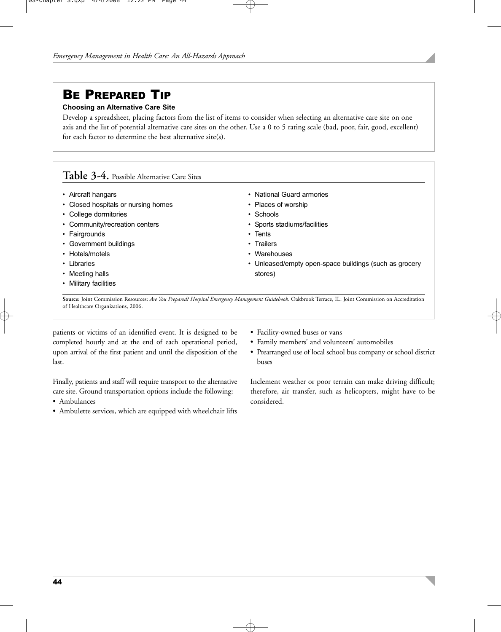# BE PREPARED TIP

#### **Choosing an Alternative Care Site**

Develop a spreadsheet, placing factors from the list of items to consider when selecting an alternative care site on one axis and the list of potential alternative care sites on the other. Use a 0 to 5 rating scale (bad, poor, fair, good, excellent) for each factor to determine the best alternative site(s).

## **Table 3-4.** Possible Alternative Care Sites

- Aircraft hangars
- Closed hospitals or nursing homes
- College dormitories
- Community/recreation centers
- Fairgrounds
- Government buildings
- Hotels/motels
- Libraries
- Meeting halls
- Military facilities
- National Guard armories
- Places of worship
- Schools
- Sports stadiums/facilities
- Tents
- Trailers
- Warehouses
- Unleased/empty open-space buildings (such as grocery stores)

**Source:** Joint Commission Resources: *Are You Prepared? Hospital Emergency Management Guidebook.* Oakbrook Terrace, IL: Joint Commission on Accreditation of Healthcare Organizations, 2006.

patients or victims of an identified event. It is designed to be completed hourly and at the end of each operational period, upon arrival of the first patient and until the disposition of the last.

Finally, patients and staff will require transport to the alternative care site. Ground transportation options include the following:

- Ambulances
- Ambulette services, which are equipped with wheelchair lifts
- Facility-owned buses or vans
- Family members' and volunteers' automobiles
- Prearranged use of local school bus company or school district buses

Inclement weather or poor terrain can make driving difficult; therefore, air transfer, such as helicopters, might have to be considered.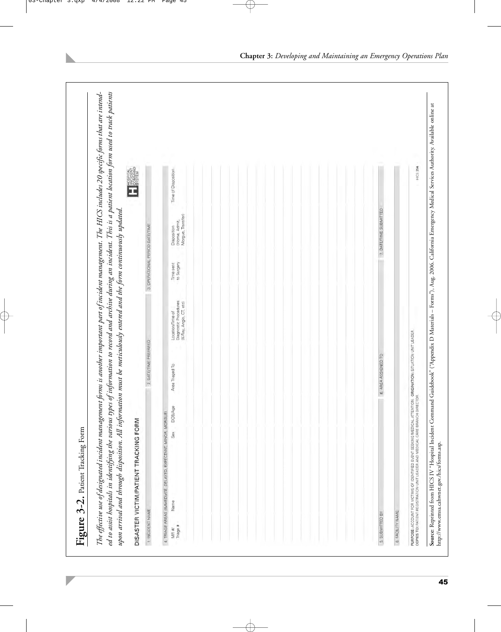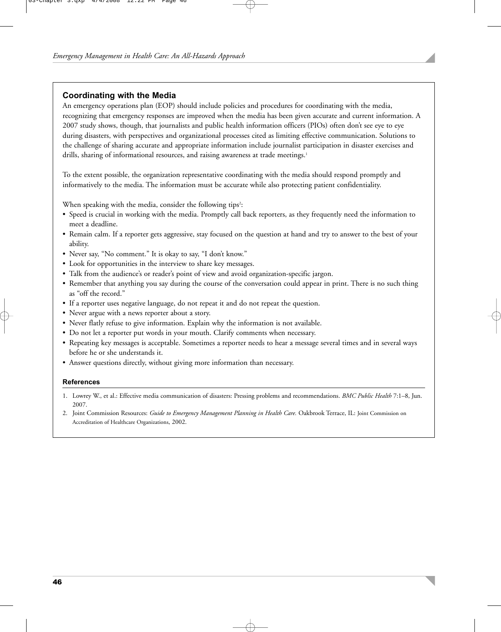#### **Coordinating with the Media**

An emergency operations plan (EOP) should include policies and procedures for coordinating with the media, recognizing that emergency responses are improved when the media has been given accurate and current information. A 2007 study shows, though, that journalists and public health information officers (PIOs) often don't see eye to eye during disasters, with perspectives and organizational processes cited as limiting effective communication. Solutions to the challenge of sharing accurate and appropriate information include journalist participation in disaster exercises and drills, sharing of informational resources, and raising awareness at trade meetings.<sup>1</sup>

To the extent possible, the organization representative coordinating with the media should respond promptly and informatively to the media. The information must be accurate while also protecting patient confidentiality.

When speaking with the media, consider the following tips<sup>2</sup>:

- Speed is crucial in working with the media. Promptly call back reporters, as they frequently need the information to meet a deadline.
- Remain calm. If a reporter gets aggressive, stay focused on the question at hand and try to answer to the best of your ability.
- Never say, "No comment." It is okay to say, "I don't know."
- Look for opportunities in the interview to share key messages.
- Talk from the audience's or reader's point of view and avoid organization-specific jargon.
- Remember that anything you say during the course of the conversation could appear in print. There is no such thing as "off the record."
- If a reporter uses negative language, do not repeat it and do not repeat the question.
- Never argue with a news reporter about a story.
- Never flatly refuse to give information. Explain why the information is not available.
- Do not let a reporter put words in your mouth. Clarify comments when necessary.
- Repeating key messages is acceptable. Sometimes a reporter needs to hear a message several times and in several ways before he or she understands it.
- Answer questions directly, without giving more information than necessary.

#### **References**

- 1. Lowrey W., et al.: Effective media communication of disasters: Pressing problems and recommendations. *BMC Public Health* 7:1–8, Jun. 2007.
- 2. Joint Commission Resources: *Guide to Emergency Management Planning in Health Care.* Oakbrook Terrace, IL: Joint Commission on Accreditation of Healthcare Organizations, 2002.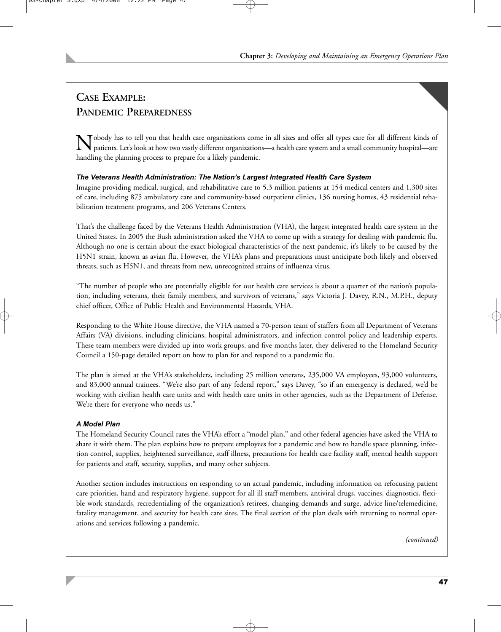# **CASE EXAMPLE: PANDEMIC PREPAREDNESS**

Nobody has to tell you that health care organizations come in all sizes and offer all types care for all different kinds of patients. Let's look at how two vastly different organizations—a health care system and a small community hospital—are handling the planning process to prepare for a likely pandemic.

## *The Veterans Health Administration: The Nation's Largest Integrated Health Care System*

Imagine providing medical, surgical, and rehabilitative care to 5.3 million patients at 154 medical centers and 1,300 sites of care, including 875 ambulatory care and community-based outpatient clinics, 136 nursing homes, 43 residential rehabilitation treatment programs, and 206 Veterans Centers.

That's the challenge faced by the Veterans Health Administration (VHA), the largest integrated health care system in the United States. In 2005 the Bush administration asked the VHA to come up with a strategy for dealing with pandemic flu. Although no one is certain about the exact biological characteristics of the next pandemic, it's likely to be caused by the H5N1 strain, known as avian flu. However, the VHA's plans and preparations must anticipate both likely and observed threats, such as H5N1, and threats from new, unrecognized strains of influenza virus.

"The number of people who are potentially eligible for our health care services is about a quarter of the nation's population, including veterans, their family members, and survivors of veterans," says Victoria J. Davey, R.N., M.P.H., deputy chief officer, Office of Public Health and Environmental Hazards, VHA.

Responding to the White House directive, the VHA named a 70-person team of staffers from all Department of Veterans Affairs (VA) divisions, including clinicians, hospital administrators, and infection control policy and leadership experts. These team members were divided up into work groups, and five months later, they delivered to the Homeland Security Council a 150-page detailed report on how to plan for and respond to a pandemic flu.

The plan is aimed at the VHA's stakeholders, including 25 million veterans, 235,000 VA employees, 93,000 volunteers, and 83,000 annual trainees. "We're also part of any federal report," says Davey, "so if an emergency is declared, we'd be working with civilian health care units and with health care units in other agencies, such as the Department of Defense. We're there for everyone who needs us."

## *A Model Plan*

The Homeland Security Council rates the VHA's effort a "model plan," and other federal agencies have asked the VHA to share it with them. The plan explains how to prepare employees for a pandemic and how to handle space planning, infection control, supplies, heightened surveillance, staff illness, precautions for health care facility staff, mental health support for patients and staff, security, supplies, and many other subjects.

Another section includes instructions on responding to an actual pandemic, including information on refocusing patient care priorities, hand and respiratory hygiene, support for all ill staff members, antiviral drugs, vaccines, diagnostics, flexible work standards, recredentialing of the organization's retirees, changing demands and surge, advice line/telemedicine, fatality management, and security for health care sites. The final section of the plan deals with returning to normal operations and services following a pandemic.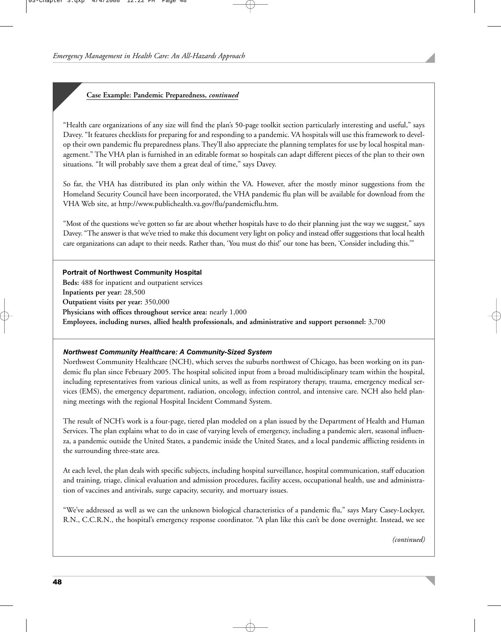#### **Case Example: Pandemic Preparedness,** *continued*

"Health care organizations of any size will find the plan's 50-page toolkit section particularly interesting and useful," says Davey. "It features checklists for preparing for and responding to a pandemic. VA hospitals will use this framework to develop their own pandemic flu preparedness plans. They'll also appreciate the planning templates for use by local hospital management." The VHA plan is furnished in an editable format so hospitals can adapt different pieces of the plan to their own situations. "It will probably save them a great deal of time," says Davey.

So far, the VHA has distributed its plan only within the VA. However, after the mostly minor suggestions from the Homeland Security Council have been incorporated, the VHA pandemic flu plan will be available for download from the VHA Web site, at http://www.publichealth.va.gov/flu/pandemicflu.htm.

"Most of the questions we've gotten so far are about whether hospitals have to do their planning just the way we suggest," says Davey. "The answer is that we've tried to make this document very light on policy and instead offer suggestions that local health care organizations can adapt to their needs. Rather than, 'You must do this!' our tone has been, 'Consider including this.'"

#### **Portrait of Northwest Community Hospital**

**Beds:** 488 for inpatient and outpatient services **Inpatients per year:** 28,500 **Outpatient visits per year:** 350,000 **Physicians with offices throughout service area:** nearly 1,000 **Employees, including nurses, allied health professionals, and administrative and support personnel:** 3,700

#### *Northwest Community Healthcare: A Community-Sized System*

Northwest Community Healthcare (NCH), which serves the suburbs northwest of Chicago, has been working on its pandemic flu plan since February 2005. The hospital solicited input from a broad multidisciplinary team within the hospital, including representatives from various clinical units, as well as from respiratory therapy, trauma, emergency medical services (EMS), the emergency department, radiation, oncology, infection control, and intensive care. NCH also held planning meetings with the regional Hospital Incident Command System.

The result of NCH's work is a four-page, tiered plan modeled on a plan issued by the Department of Health and Human Services. The plan explains what to do in case of varying levels of emergency, including a pandemic alert, seasonal influenza, a pandemic outside the United States, a pandemic inside the United States, and a local pandemic afflicting residents in the surrounding three-state area.

At each level, the plan deals with specific subjects, including hospital surveillance, hospital communication, staff education and training, triage, clinical evaluation and admission procedures, facility access, occupational health, use and administration of vaccines and antivirals, surge capacity, security, and mortuary issues.

"We've addressed as well as we can the unknown biological characteristics of a pandemic flu," says Mary Casey-Lockyer, R.N., C.C.R.N., the hospital's emergency response coordinator. "A plan like this can't be done overnight. Instead, we see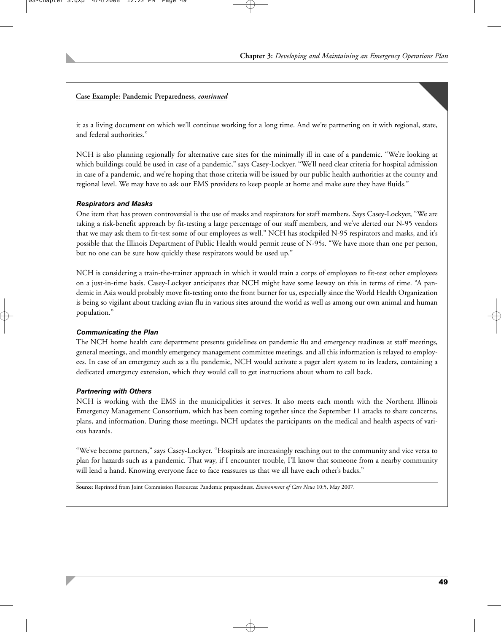#### **Case Example: Pandemic Preparedness,** *continued*

it as a living document on which we'll continue working for a long time. And we're partnering on it with regional, state, and federal authorities."

NCH is also planning regionally for alternative care sites for the minimally ill in case of a pandemic. "We're looking at which buildings could be used in case of a pandemic," says Casey-Lockyer. "We'll need clear criteria for hospital admission in case of a pandemic, and we're hoping that those criteria will be issued by our public health authorities at the county and regional level. We may have to ask our EMS providers to keep people at home and make sure they have fluids."

#### *Respirators and Masks*

One item that has proven controversial is the use of masks and respirators for staff members. Says Casey-Lockyer, "We are taking a risk-benefit approach by fit-testing a large percentage of our staff members, and we've alerted our N-95 vendors that we may ask them to fit-test some of our employees as well." NCH has stockpiled N-95 respirators and masks, and it's possible that the Illinois Department of Public Health would permit reuse of N-95s. "We have more than one per person, but no one can be sure how quickly these respirators would be used up."

NCH is considering a train-the-trainer approach in which it would train a corps of employees to fit-test other employees on a just-in-time basis. Casey-Lockyer anticipates that NCH might have some leeway on this in terms of time. "A pandemic in Asia would probably move fit-testing onto the front burner for us, especially since the World Health Organization is being so vigilant about tracking avian flu in various sites around the world as well as among our own animal and human population."

#### *Communicating the Plan*

The NCH home health care department presents guidelines on pandemic flu and emergency readiness at staff meetings, general meetings, and monthly emergency management committee meetings, and all this information is relayed to employees. In case of an emergency such as a flu pandemic, NCH would activate a pager alert system to its leaders, containing a dedicated emergency extension, which they would call to get instructions about whom to call back.

#### *Partnering with Others*

NCH is working with the EMS in the municipalities it serves. It also meets each month with the Northern Illinois Emergency Management Consortium, which has been coming together since the September 11 attacks to share concerns, plans, and information. During those meetings, NCH updates the participants on the medical and health aspects of various hazards.

"We've become partners," says Casey-Lockyer. "Hospitals are increasingly reaching out to the community and vice versa to plan for hazards such as a pandemic. That way, if I encounter trouble, I'll know that someone from a nearby community will lend a hand. Knowing everyone face to face reassures us that we all have each other's backs."

**Source:** Reprinted from Joint Commission Resources: Pandemic preparedness. *Environment of Care News* 10:5, May 2007.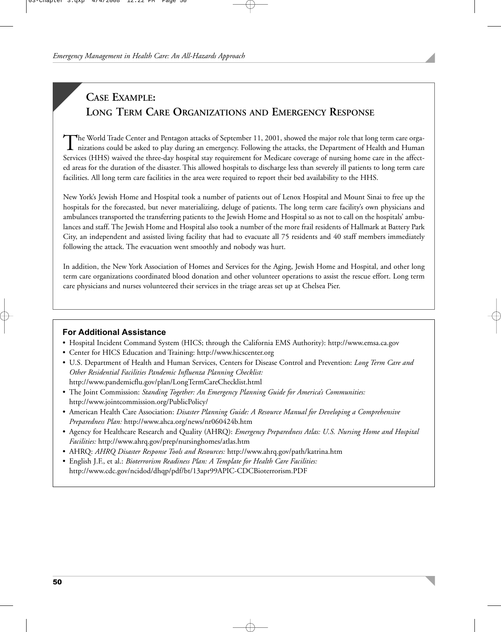# **CASE EXAMPLE: LONG TERM CARE ORGANIZATIONS AND EMERGENCY RESPONSE**

The World Trade Center and Pentagon attacks of September 11, 2001, showed the major role that long term care organizations could be asked to play during an emergency. Following the attacks, the Department of Health and Hum Services (HHS) waived the three-day hospital stay requirement for Medicare coverage of nursing home care in the affected areas for the duration of the disaster. This allowed hospitals to discharge less than severely ill patients to long term care facilities. All long term care facilities in the area were required to report their bed availability to the HHS.

New York's Jewish Home and Hospital took a number of patients out of Lenox Hospital and Mount Sinai to free up the hospitals for the forecasted, but never materializing, deluge of patients. The long term care facility's own physicians and ambulances transported the transferring patients to the Jewish Home and Hospital so as not to call on the hospitals' ambulances and staff. The Jewish Home and Hospital also took a number of the more frail residents of Hallmark at Battery Park City, an independent and assisted living facility that had to evacuate all 75 residents and 40 staff members immediately following the attack. The evacuation went smoothly and nobody was hurt.

In addition, the New York Association of Homes and Services for the Aging, Jewish Home and Hospital, and other long term care organizations coordinated blood donation and other volunteer operations to assist the rescue effort. Long term care physicians and nurses volunteered their services in the triage areas set up at Chelsea Pier.

#### **For Additional Assistance**

- Hospital Incident Command System (HICS; through the California EMS Authority): http://www.emsa.ca.gov
- Center for HICS Education and Training: http://www.hicscenter.org
- U.S. Department of Health and Human Services, Centers for Disease Control and Prevention: *Long Term Care and Other Residential Facilities Pandemic Influenza Planning Checklist:* http://www.pandemicflu.gov/plan/LongTermCareChecklist.html
- The Joint Commission: *Standing Together: An Emergency Planning Guide for America's Communities:* http://www.jointcommission.org/PublicPolicy/
- American Health Care Association: *Disaster Planning Guide: A Resource Manual for Developing a Comprehensive Preparedness Plan:* http://www.ahca.org/news/nr060424b.htm
- Agency for Healthcare Research and Quality (AHRQ): *Emergency Preparedness Atlas: U.S. Nursing Home and Hospital Facilities:* http://www.ahrq.gov/prep/nursinghomes/atlas.htm
- AHRQ: *AHRQ Disaster Response Tools and Resources:* http://www.ahrq.gov/path/katrina.htm
- English J.F., et al.: *Bioterrorism Readiness Plan: A Template for Health Care Facilities:* http://www.cdc.gov/ncidod/dhqp/pdf/bt/13apr99APIC-CDCBioterrorism.PDF